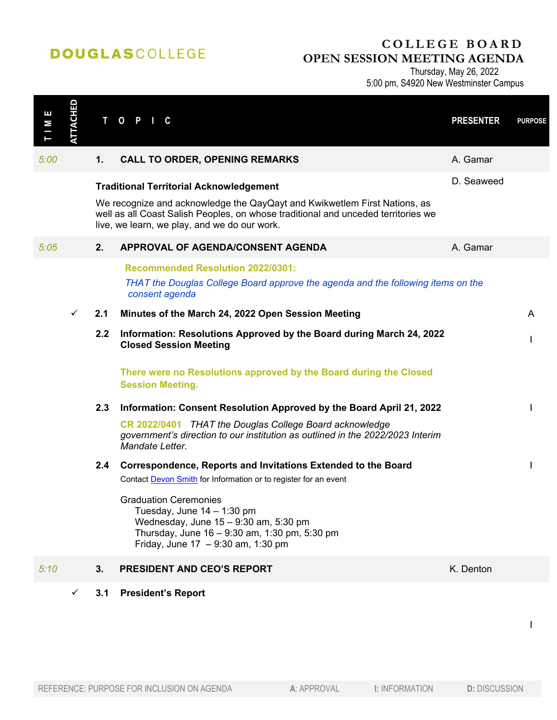## **DOUGLASCOLLEGE**

## **COLLEGE BOARD OPEN SESSION MEETING AGENDA**

Thursday, May 26, 2022

5:00 pm, S4920 New Westminster Campus

| ш<br>М<br>J<br>Ī | <b>ATTACHED</b> | $\mathbf{T}$ | $O$ $P$<br>C                                                                                                                                                                                                   | <b>PRESENTER</b> | <b>PURPOSE</b> |
|------------------|-----------------|--------------|----------------------------------------------------------------------------------------------------------------------------------------------------------------------------------------------------------------|------------------|----------------|
| 5:00             |                 | 1.           | <b>CALL TO ORDER, OPENING REMARKS</b>                                                                                                                                                                          | A. Gamar         |                |
|                  |                 |              | <b>Traditional Territorial Acknowledgement</b>                                                                                                                                                                 | D. Seaweed       |                |
|                  |                 |              | We recognize and acknowledge the QayQayt and Kwikwetlem First Nations, as<br>well as all Coast Salish Peoples, on whose traditional and unceded territories we<br>live, we learn, we play, and we do our work. |                  |                |
| 5:05             |                 | 2.           | APPROVAL OF AGENDA/CONSENT AGENDA                                                                                                                                                                              | A. Gamar         |                |
|                  |                 |              | <b>Recommended Resolution 2022/0301:</b>                                                                                                                                                                       |                  |                |
|                  |                 |              | THAT the Douglas College Board approve the agenda and the following items on the<br>consent agenda                                                                                                             |                  |                |
|                  | $\checkmark$    | 2.1          | Minutes of the March 24, 2022 Open Session Meeting                                                                                                                                                             |                  | A              |
|                  |                 | 2.2          | Information: Resolutions Approved by the Board during March 24, 2022<br><b>Closed Session Meeting</b>                                                                                                          |                  |                |
|                  |                 |              | There were no Resolutions approved by the Board during the Closed<br><b>Session Meeting.</b>                                                                                                                   |                  |                |
|                  |                 | 2.3          | Information: Consent Resolution Approved by the Board April 21, 2022                                                                                                                                           |                  |                |
|                  |                 |              | CR 2022/0401 THAT the Douglas College Board acknowledge<br>government's direction to our institution as outlined in the 2022/2023 Interim<br>Mandate Letter.                                                   |                  |                |
|                  |                 | 2.4          | Correspondence, Reports and Invitations Extended to the Board<br>Contact Devon Smith for Information or to register for an event                                                                               |                  |                |
|                  |                 |              | <b>Graduation Ceremonies</b><br>Tuesday, June $14 - 1:30$ pm<br>Wednesday, June 15 - 9:30 am, 5:30 pm<br>Thursday, June 16 - 9:30 am, 1:30 pm, 5:30 pm<br>Friday, June $17 - 9:30$ am, 1:30 pm                 |                  |                |
| 5:10             |                 | 3.           | <b>PRESIDENT AND CEO'S REPORT</b>                                                                                                                                                                              | K. Denton        |                |
|                  | ✓               | 3.1          | <b>President's Report</b>                                                                                                                                                                                      |                  |                |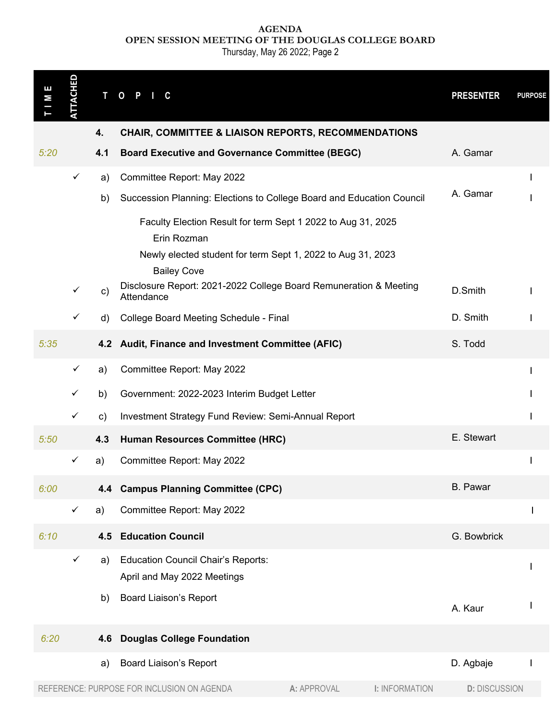**AGENDA OPEN SESSION MEETING OF THE DOUGLAS COLLEGE BOARD**

Thursday, May 26 2022; Page 2

| Е<br>М | <b>TTACHED</b> | T O           | P<br>C.                                                                                                                                    |             |                       | <b>PRESENTER</b>     | <b>PURPOSE</b> |
|--------|----------------|---------------|--------------------------------------------------------------------------------------------------------------------------------------------|-------------|-----------------------|----------------------|----------------|
|        |                | 4.            | CHAIR, COMMITTEE & LIAISON REPORTS, RECOMMENDATIONS                                                                                        |             |                       |                      |                |
| 5:20   |                | 4.1           | <b>Board Executive and Governance Committee (BEGC)</b>                                                                                     |             |                       | A. Gamar             |                |
|        | $\checkmark$   | a)            | Committee Report: May 2022                                                                                                                 |             |                       |                      |                |
|        |                | b)            | Succession Planning: Elections to College Board and Education Council                                                                      |             |                       | A. Gamar             |                |
|        |                |               | Faculty Election Result for term Sept 1 2022 to Aug 31, 2025<br>Erin Rozman<br>Newly elected student for term Sept 1, 2022 to Aug 31, 2023 |             |                       |                      |                |
|        |                |               | <b>Bailey Cove</b><br>Disclosure Report: 2021-2022 College Board Remuneration & Meeting                                                    |             |                       |                      |                |
|        | $\checkmark$   | c)            | Attendance                                                                                                                                 |             |                       | D.Smith              |                |
|        | ✓              | d)            | College Board Meeting Schedule - Final                                                                                                     |             |                       | D. Smith             |                |
| 5:35   |                |               | 4.2 Audit, Finance and Investment Committee (AFIC)                                                                                         |             |                       | S. Todd              |                |
|        | $\checkmark$   | a)            | Committee Report: May 2022                                                                                                                 |             |                       |                      |                |
|        | $\checkmark$   | b)            | Government: 2022-2023 Interim Budget Letter                                                                                                |             |                       |                      |                |
|        | $\checkmark$   | $\mathsf{c})$ | Investment Strategy Fund Review: Semi-Annual Report                                                                                        |             |                       |                      |                |
| 5:50   |                | 4.3           | Human Resources Committee (HRC)                                                                                                            |             |                       | E. Stewart           |                |
|        | $\checkmark$   | a)            | Committee Report: May 2022                                                                                                                 |             |                       |                      | I              |
| 6:00   |                | 4.4           | <b>Campus Planning Committee (CPC)</b>                                                                                                     |             |                       | <b>B.</b> Pawar      |                |
|        | $\checkmark$   | a)            | Committee Report: May 2022                                                                                                                 |             |                       |                      | I              |
| 6:10   |                | 4.5           | <b>Education Council</b>                                                                                                                   |             |                       | G. Bowbrick          |                |
|        | $\checkmark$   | a)            | <b>Education Council Chair's Reports:</b><br>April and May 2022 Meetings                                                                   |             |                       |                      | I              |
|        |                | b)            | <b>Board Liaison's Report</b>                                                                                                              |             |                       | A. Kaur              |                |
| 6:20   |                | 4.6           | <b>Douglas College Foundation</b>                                                                                                          |             |                       |                      |                |
|        |                | a)            | <b>Board Liaison's Report</b>                                                                                                              |             |                       | D. Agbaje            |                |
|        |                |               | REFERENCE: PURPOSE FOR INCLUSION ON AGENDA                                                                                                 | A: APPROVAL | <b>I: INFORMATION</b> | <b>D: DISCUSSION</b> |                |